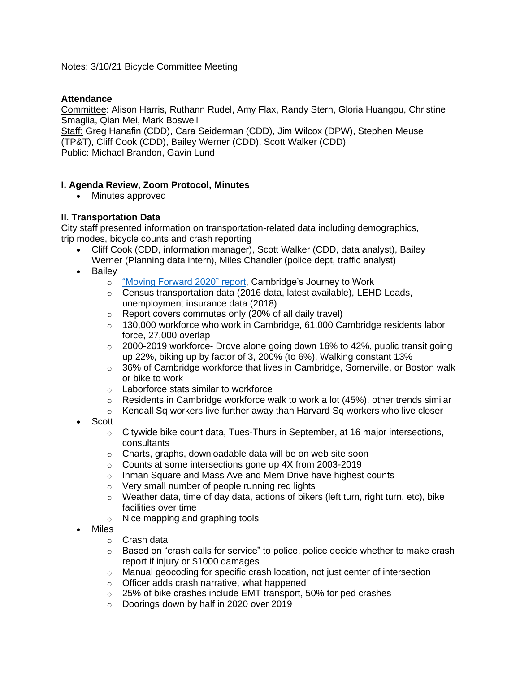## Notes: 3/10/21 Bicycle Committee Meeting

## **Attendance**

Committee: Alison Harris, Ruthann Rudel, Amy Flax, Randy Stern, Gloria Huangpu, Christine Smaglia, Qian Mei, Mark Boswell

Staff: Greg Hanafin (CDD), Cara Seiderman (CDD), Jim Wilcox (DPW), Stephen Meuse (TP&T), Cliff Cook (CDD), Bailey Werner (CDD), Scott Walker (CDD) Public: Michael Brandon, Gavin Lund

## **I. Agenda Review, Zoom Protocol, Minutes**

• Minutes approved

## **II. Transportation Data**

City staff presented information on transportation-related data including demographics, trip modes, bicycle counts and crash reporting

- Cliff Cook (CDD, information manager), Scott Walker (CDD, data analyst), Bailey Werner (Planning data intern), Miles Chandler (police dept, traffic analyst)
- **Bailey** 
	- o ["Moving Forward 2020" report,](https://www.cambridgema.gov/-/media/Files/CDD/FactsandMaps/profiles/demo_moving_forward_2020.pdf) Cambridge's Journey to Work
	- o Census transportation data (2016 data, latest available), LEHD Loads, unemployment insurance data (2018)
	- o Report covers commutes only (20% of all daily travel)
	- $\circ$  130,000 workforce who work in Cambridge, 61,000 Cambridge residents labor force, 27,000 overlap
	- $\degree$  2000-2019 workforce- Drove alone going down 16% to 42%, public transit going up 22%, biking up by factor of 3, 200% (to 6%), Walking constant 13%
	- $\circ$  36% of Cambridge workforce that lives in Cambridge, Somerville, or Boston walk or bike to work
	- o Laborforce stats similar to workforce
	- $\circ$  Residents in Cambridge workforce walk to work a lot (45%), other trends similar
	- $\circ$  Kendall Sq workers live further away than Harvard Sq workers who live closer
- **Scott** 
	- $\circ$  Citywide bike count data, Tues-Thurs in September, at 16 major intersections, consultants
	- o Charts, graphs, downloadable data will be on web site soon
	- o Counts at some intersections gone up 4X from 2003-2019
	- o Inman Square and Mass Ave and Mem Drive have highest counts
	- o Very small number of people running red lights
	- $\circ$  Weather data, time of day data, actions of bikers (left turn, right turn, etc), bike facilities over time
	- o Nice mapping and graphing tools
- Miles
	- o Crash data
	- $\circ$  Based on "crash calls for service" to police, police decide whether to make crash report if injury or \$1000 damages
	- o Manual geocoding for specific crash location, not just center of intersection
	- o Officer adds crash narrative, what happened
	- o 25% of bike crashes include EMT transport, 50% for ped crashes
	- o Doorings down by half in 2020 over 2019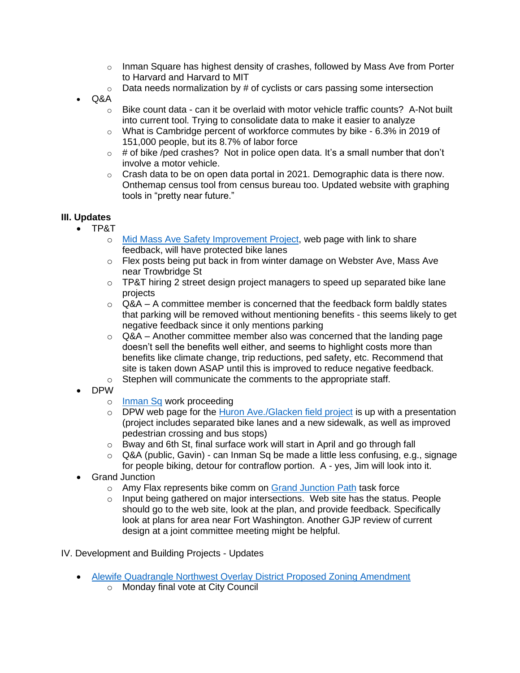- $\circ$  Inman Square has highest density of crashes, followed by Mass Ave from Porter to Harvard and Harvard to MIT
- $\circ$  Data needs normalization by # of cyclists or cars passing some intersection
- Q&A
	- $\circ$  Bike count data can it be overlaid with motor vehicle traffic counts? A-Not built into current tool. Trying to consolidate data to make it easier to analyze
	- $\circ$  What is Cambridge percent of workforce commutes by bike 6.3% in 2019 of 151,000 people, but its 8.7% of labor force
	- $\circ$  # of bike /ped crashes? Not in police open data. It's a small number that don't involve a motor vehicle.
	- $\circ$  Crash data to be on open data portal in 2021. Demographic data is there now. Onthemap census tool from census bureau too. Updated website with graphing tools in "pretty near future."

# **III. Updates**

- TP&T
	- o [Mid Mass Ave Safety Improvement Project,](https://www.cambridgema.gov/Departments/trafficparkingandtransportation/midmassavesafetyimprovementproject) web page with link to share feedback, will have protected bike lanes
	- o Flex posts being put back in from winter damage on Webster Ave, Mass Ave near Trowbridge St
	- $\circ$  TP&T hiring 2 street design project managers to speed up separated bike lane projects
	- $\circ$  Q&A A committee member is concerned that the feedback form baldly states that parking will be removed without mentioning benefits - this seems likely to get negative feedback since it only mentions parking
	- $\circ$  Q&A Another committee member also was concerned that the landing page doesn't sell the benefits well either, and seems to highlight costs more than benefits like climate change, trip reductions, ped safety, etc. Recommend that site is taken down ASAP until this is improved to reduce negative feedback.
	- o Stephen will communicate the comments to the appropriate staff.
- DPW
	- o [Inman Sq](https://www.cambridgema.gov/Departments/publicworks/cityprojects/2016/inmansquare) work proceeding
	- o DPW web page for the [Huron Ave./Glacken field project](https://www.cambridgema.gov/Departments/publicworks/cityprojects/2019/glackenfield) is up with a presentation (project includes separated bike lanes and a new sidewalk, as well as improved pedestrian crossing and bus stops)
	- o Bway and 6th St, final surface work will start in April and go through fall
	- o Q&A (public, Gavin) can Inman Sq be made a little less confusing, e.g., signage for people biking, detour for contraflow portion. A - yes, Jim will look into it.
- Grand Junction
	- o Amy Flax represents bike comm on [Grand Junction Path](https://www.cambridgema.gov/CDD/Projects/Transportation/GrandJunctionPathway) task force
	- o Input being gathered on major intersections. Web site has the status. People should go to the web site, look at the plan, and provide feedback. Specifically look at plans for area near Fort Washington. Another GJP review of current design at a joint committee meeting might be helpful.

IV. Development and Building Projects - Updates

- [Alewife Quadrangle Northwest Overlay District Proposed Zoning Amendment](https://cambridgema.iqm2.com/Citizens/Detail_LegiFile.aspx?Frame=&MeetingID=2656&MediaPosition=&ID=12321&CssClass=)
	- o Monday final vote at City Council